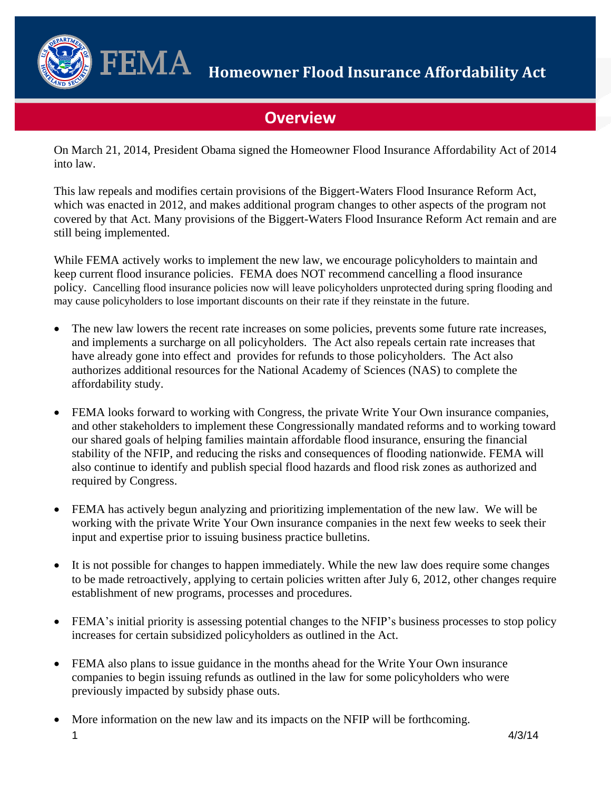

 $\mathbf{FEMA}$  Homeowner Flood Insurance Affordability Act

# **Overview**

On March 21, 2014, President Obama signed the Homeowner Flood Insurance Affordability Act of 2014 into law.

This law repeals and modifies certain provisions of the Biggert-Waters Flood Insurance Reform Act, which was enacted in 2012, and makes additional program changes to other aspects of the program not covered by that Act. Many provisions of the Biggert-Waters Flood Insurance Reform Act remain and are still being implemented.

While FEMA actively works to implement the new law, we encourage policyholders to maintain and keep current flood insurance policies. FEMA does NOT recommend cancelling a flood insurance policy. Cancelling flood insurance policies now will leave policyholders unprotected during spring flooding and may cause policyholders to lose important discounts on their rate if they reinstate in the future.

- The new law lowers the recent rate increases on some policies, prevents some future rate increases, and implements a surcharge on all policyholders. The Act also repeals certain rate increases that have already gone into effect and provides for refunds to those policyholders. The Act also authorizes additional resources for the National Academy of Sciences (NAS) to complete the affordability study.
- FEMA looks forward to working with Congress, the private Write Your Own insurance companies, and other stakeholders to implement these Congressionally mandated reforms and to working toward our shared goals of helping families maintain affordable flood insurance, ensuring the financial stability of the NFIP, and reducing the risks and consequences of flooding nationwide. FEMA will also continue to identify and publish special flood hazards and flood risk zones as authorized and required by Congress.
- FEMA has actively begun analyzing and prioritizing implementation of the new law. We will be working with the private Write Your Own insurance companies in the next few weeks to seek their input and expertise prior to issuing business practice bulletins.
- It is not possible for changes to happen immediately. While the new law does require some changes to be made retroactively, applying to certain policies written after July 6, 2012, other changes require establishment of new programs, processes and procedures.
- FEMA's initial priority is assessing potential changes to the NFIP's business processes to stop policy increases for certain subsidized policyholders as outlined in the Act.
- FEMA also plans to issue guidance in the months ahead for the Write Your Own insurance companies to begin issuing refunds as outlined in the law for some policyholders who were previously impacted by subsidy phase outs.
- 1  $4/3/14$ More information on the new law and its impacts on the NFIP will be forthcoming.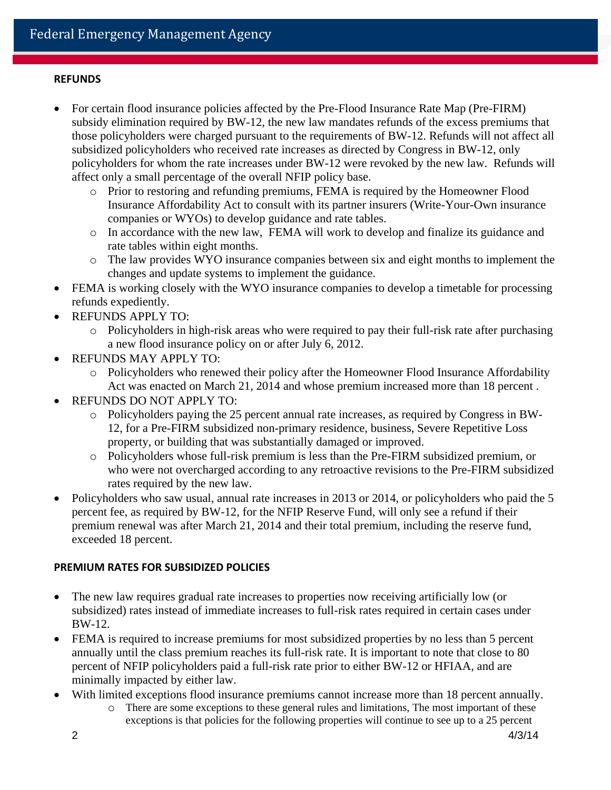## **REFUNDS**

- For certain flood insurance policies affected by the Pre-Flood Insurance Rate Map (Pre-FIRM) subsidy elimination required by BW-12, the new law mandates refunds of the excess premiums that those policyholders were charged pursuant to the requirements of BW-12. Refunds will not affect all subsidized policyholders who received rate increases as directed by Congress in BW-12, only policyholders for whom the rate increases under BW-12 were revoked by the new law. Refunds will affect only a small percentage of the overall NFIP policy base.
	- o Prior to restoring and refunding premiums, FEMA is required by the Homeowner Flood Insurance Affordability Act to consult with its partner insurers (Write-Your-Own insurance companies or WYOs) to develop guidance and rate tables.
	- o In accordance with the new law, FEMA will work to develop and finalize its guidance and rate tables within eight months.
	- o The law provides WYO insurance companies between six and eight months to implement the changes and update systems to implement the guidance.
- FEMA is working closely with the WYO insurance companies to develop a timetable for processing refunds expediently.
- REFUNDS APPLY TO:
	- o Policyholders in high-risk areas who were required to pay their full-risk rate after purchasing a new flood insurance policy on or after July 6, 2012.
- REFUNDS MAY APPLY TO:
	- o Policyholders who renewed their policy after the Homeowner Flood Insurance Affordability Act was enacted on March 21, 2014 and whose premium increased more than 18 percent .
- REFUNDS DO NOT APPLY TO:
	- o Policyholders paying the 25 percent annual rate increases, as required by Congress in BW-12, for a Pre-FIRM subsidized non-primary residence, business, Severe Repetitive Loss property, or building that was substantially damaged or improved.
	- o Policyholders whose full-risk premium is less than the Pre-FIRM subsidized premium, or who were not overcharged according to any retroactive revisions to the Pre-FIRM subsidized rates required by the new law.
- Policyholders who saw usual, annual rate increases in 2013 or 2014, or policyholders who paid the 5 percent fee, as required by BW-12, for the NFIP Reserve Fund, will only see a refund if their premium renewal was after March 21, 2014 and their total premium, including the reserve fund, exceeded 18 percent.

## **PREMIUM RATES FOR SUBSIDIZED POLICIES**

- The new law requires gradual rate increases to properties now receiving artificially low (or subsidized) rates instead of immediate increases to full-risk rates required in certain cases under BW-12.
- FEMA is required to increase premiums for most subsidized properties by no less than 5 percent annually until the class premium reaches its full-risk rate. It is important to note that close to 80 percent of NFIP policyholders paid a full-risk rate prior to either BW-12 or HFIAA, and are minimally impacted by either law.
- With limited exceptions flood insurance premiums cannot increase more than 18 percent annually.
	- o There are some exceptions to these general rules and limitations, The most important of these exceptions is that policies for the following properties will continue to see up to a 25 percent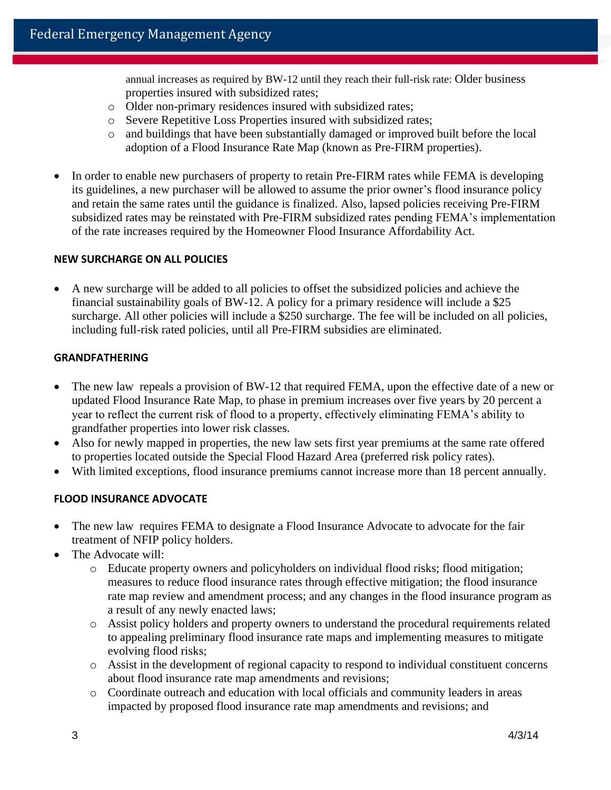annual increases as required by BW-12 until they reach their full-risk rate: Older business properties insured with subsidized rates;

- o Older non-primary residences insured with subsidized rates;
- o Severe Repetitive Loss Properties insured with subsidized rates;
- o and buildings that have been substantially damaged or improved built before the local adoption of a Flood Insurance Rate Map (known as Pre-FIRM properties).
- In order to enable new purchasers of property to retain Pre-FIRM rates while FEMA is developing its guidelines, a new purchaser will be allowed to assume the prior owner's flood insurance policy and retain the same rates until the guidance is finalized. Also, lapsed policies receiving Pre-FIRM subsidized rates may be reinstated with Pre-FIRM subsidized rates pending FEMA's implementation of the rate increases required by the Homeowner Flood Insurance Affordability Act.

#### **NEW SURCHARGE ON ALL POLICIES**

 A new surcharge will be added to all policies to offset the subsidized policies and achieve the financial sustainability goals of BW-12. A policy for a primary residence will include a \$25 surcharge. All other policies will include a \$250 surcharge. The fee will be included on all policies, including full-risk rated policies, until all Pre-FIRM subsidies are eliminated.

#### **GRANDFATHERING**

- The new law repeals a provision of BW-12 that required FEMA, upon the effective date of a new or updated Flood Insurance Rate Map, to phase in premium increases over five years by 20 percent a year to reflect the current risk of flood to a property, effectively eliminating FEMA's ability to grandfather properties into lower risk classes.
- Also for newly mapped in properties, the new law sets first year premiums at the same rate offered to properties located outside the Special Flood Hazard Area (preferred risk policy rates).
- With limited exceptions, flood insurance premiums cannot increase more than 18 percent annually.

## **FLOOD INSURANCE ADVOCATE**

- The new law requires FEMA to designate a Flood Insurance Advocate to advocate for the fair treatment of NFIP policy holders.
- The Advocate will:
	- o Educate property owners and policyholders on individual flood risks; flood mitigation; measures to reduce flood insurance rates through effective mitigation; the flood insurance rate map review and amendment process; and any changes in the flood insurance program as a result of any newly enacted laws;
	- o Assist policy holders and property owners to understand the procedural requirements related to appealing preliminary flood insurance rate maps and implementing measures to mitigate evolving flood risks;
	- o Assist in the development of regional capacity to respond to individual constituent concerns about flood insurance rate map amendments and revisions;
	- o Coordinate outreach and education with local officials and community leaders in areas impacted by proposed flood insurance rate map amendments and revisions; and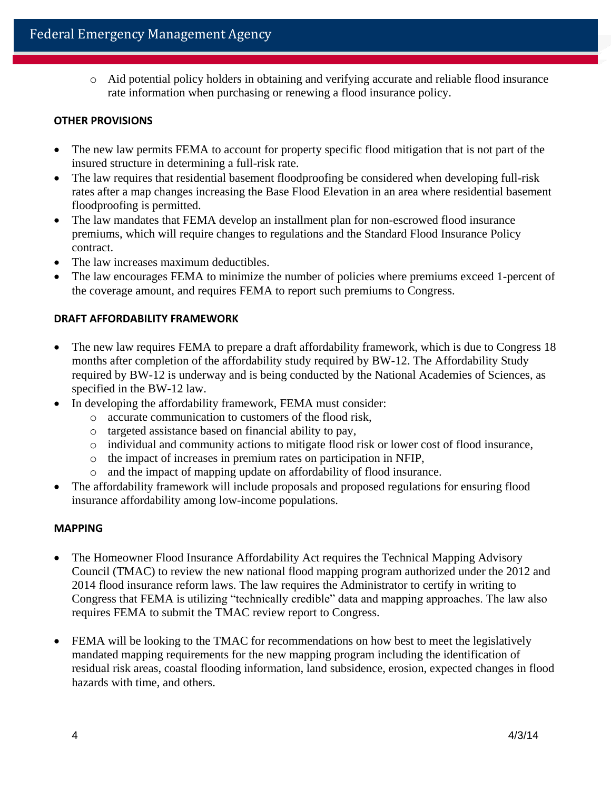o Aid potential policy holders in obtaining and verifying accurate and reliable flood insurance rate information when purchasing or renewing a flood insurance policy.

## **OTHER PROVISIONS**

- The new law permits FEMA to account for property specific flood mitigation that is not part of the insured structure in determining a full-risk rate.
- The law requires that residential basement floodproofing be considered when developing full-risk rates after a map changes increasing the Base Flood Elevation in an area where residential basement floodproofing is permitted.
- The law mandates that FEMA develop an installment plan for non-escrowed flood insurance premiums, which will require changes to regulations and the Standard Flood Insurance Policy contract.
- The law increases maximum deductibles.
- The law encourages FEMA to minimize the number of policies where premiums exceed 1-percent of the coverage amount, and requires FEMA to report such premiums to Congress.

# **DRAFT AFFORDABILITY FRAMEWORK**

- The new law requires FEMA to prepare a draft affordability framework, which is due to Congress 18 months after completion of the affordability study required by BW-12. The Affordability Study required by BW-12 is underway and is being conducted by the National Academies of Sciences, as specified in the BW-12 law.
- In developing the affordability framework, FEMA must consider:
	- o accurate communication to customers of the flood risk,
	- o targeted assistance based on financial ability to pay,
	- o individual and community actions to mitigate flood risk or lower cost of flood insurance,
	- o the impact of increases in premium rates on participation in NFIP,
	- o and the impact of mapping update on affordability of flood insurance.
- The affordability framework will include proposals and proposed regulations for ensuring flood insurance affordability among low-income populations.

# **MAPPING**

- The Homeowner Flood Insurance Affordability Act requires the Technical Mapping Advisory Council (TMAC) to review the new national flood mapping program authorized under the 2012 and 2014 flood insurance reform laws. The law requires the Administrator to certify in writing to Congress that FEMA is utilizing "technically credible" data and mapping approaches. The law also requires FEMA to submit the TMAC review report to Congress.
- FEMA will be looking to the TMAC for recommendations on how best to meet the legislatively mandated mapping requirements for the new mapping program including the identification of residual risk areas, coastal flooding information, land subsidence, erosion, expected changes in flood hazards with time, and others.